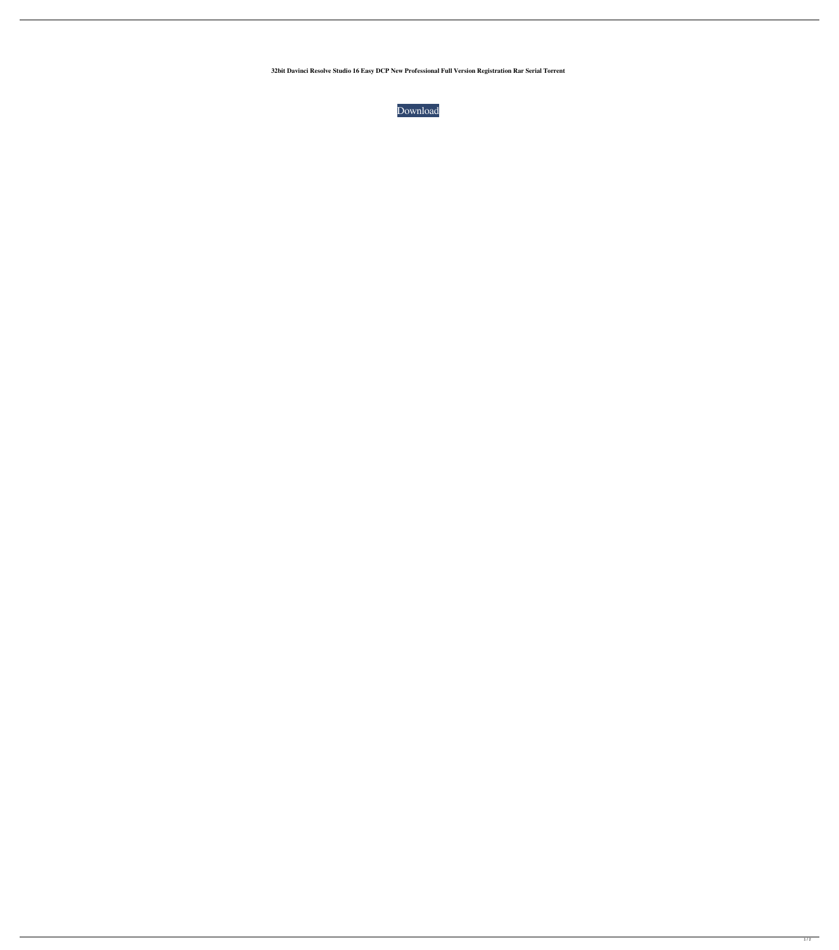**32bit Davinci Resolve Studio 16 Easy DCP New Professional Full Version Registration Rar Serial Torrent**